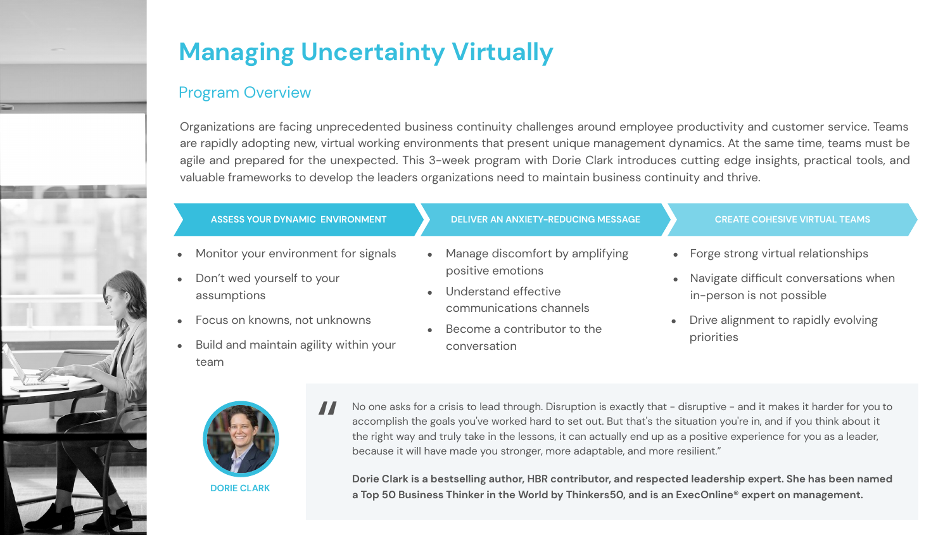

### Program Overview

Organizations are facing unprecedented business continuity challenges around employee productivity and customer service. Teams are rapidly adopting new, virtual working environments that present unique management dynamics. At the same time, teams must be agile and prepared for the unexpected. This 3-week program with Dorie Clark introduces cutting edge insights, practical tools, and valuable frameworks to develop the leaders organizations need to maintain business continuity and thrive.

| ASSESS YOUR DYNAMIC ENVIRONMENT                                                                                                                                                                  | <b>DELIVER AN ANXIETY-REDUCING MESSAGE</b>                                                                                                                                         | <b>CREATE COHESIVE VIRTUAL TEAMS</b>                                                                                                                                           |
|--------------------------------------------------------------------------------------------------------------------------------------------------------------------------------------------------|------------------------------------------------------------------------------------------------------------------------------------------------------------------------------------|--------------------------------------------------------------------------------------------------------------------------------------------------------------------------------|
| Monitor your environment for signals<br>$\bullet$<br>Don't wed yourself to your<br>assumptions<br>• Focus on knowns, not unknowns<br>Build and maintain agility within your<br>$\bullet$<br>team | • Manage discomfort by amplifying<br>positive emotions<br>Understand effective<br>$\bullet$<br>communications channels<br>Become a contributor to the<br>$\bullet$<br>conversation | • Forge strong virtual relationships<br>• Navigate difficult conversations when<br>in-person is not possible<br>Drive alignment to rapidly evolving<br>$\bullet$<br>priorities |



**DORIE CLARK**

No one asks for a crisis to lead through. Disruption is exactly that - disruptive - and it makes it harder for you to accomplish the goals you've worked hard to set out. But that's the situation you're in, and if you think about it the right way and truly take in the lessons, it can actually end up as a positive experience for you as a leader, because it will have made you stronger, more adaptable, and more resilient." "

**Dorie Clark is a bestselling author, HBR contributor, and respected leadership expert. She has been named a Top 50 Business Thinker in the World by Thinkers50, and is an ExecOnline® expert on management.**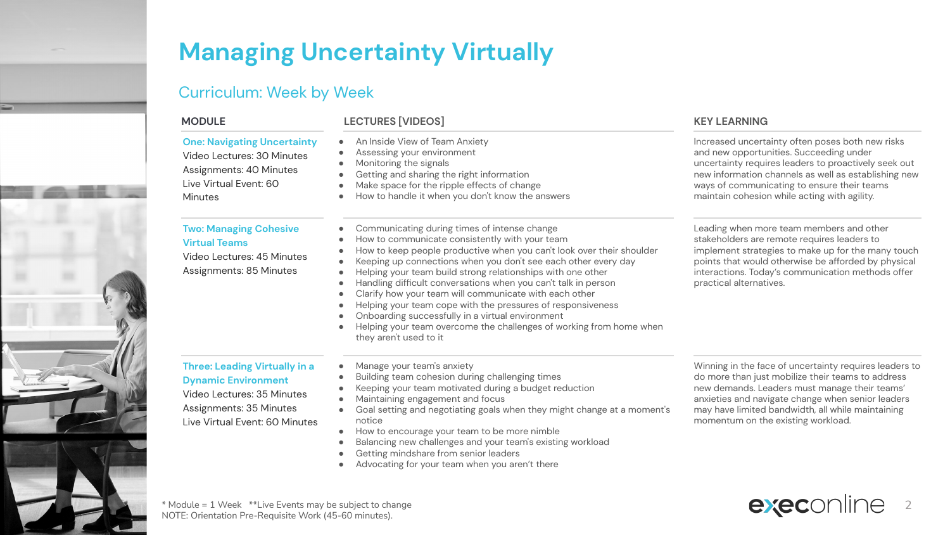

### Curriculum: Week by Week

### **MODULE LECTURES [VIDEOS] KEY LEARNING**

| <b>One: Navigating Uncertainty</b><br>Video Lectures: 30 Minutes<br>Assignments: 40 Minutes<br>Live Virtual Event: 60<br><b>Minutes</b>                       | An Inside View of Team Anxiety<br>Assessing your environment<br>Monitoring the signals<br>$\bullet$<br>Getting and sharing the right information<br>Make space for the ripple effects of change<br>How to handle it when you don't know the answers                                                                                                                                                                                                                                                                                                                                                                                                           | Increased uncertainty often poses both new risks<br>and new opportunities. Succeeding under<br>uncertainty requires leaders to proactively seek out<br>new information channels as well as establishing new<br>ways of communicating to ensure their teams<br>maintain cohesion while acting with agility.   |
|---------------------------------------------------------------------------------------------------------------------------------------------------------------|---------------------------------------------------------------------------------------------------------------------------------------------------------------------------------------------------------------------------------------------------------------------------------------------------------------------------------------------------------------------------------------------------------------------------------------------------------------------------------------------------------------------------------------------------------------------------------------------------------------------------------------------------------------|--------------------------------------------------------------------------------------------------------------------------------------------------------------------------------------------------------------------------------------------------------------------------------------------------------------|
| <b>Two: Managing Cohesive</b><br><b>Virtual Teams</b><br>Video Lectures: 45 Minutes<br>Assignments: 85 Minutes                                                | Communicating during times of intense change<br>How to communicate consistently with your team<br>How to keep people productive when you can't look over their shoulder<br>٠<br>Keeping up connections when you don't see each other every day<br>Helping your team build strong relationships with one other<br>Handling difficult conversations when you can't talk in person<br>Clarify how your team will communicate with each other<br>Helping your team cope with the pressures of responsiveness<br>Onboarding successfully in a virtual environment<br>Helping your team overcome the challenges of working from home when<br>they aren't used to it | Leading when more team members and other<br>stakeholders are remote requires leaders to<br>implement strategies to make up for the many touch<br>points that would otherwise be afforded by physical<br>interactions. Today's communication methods offer<br>practical alternatives.                         |
| <b>Three: Leading Virtually in a</b><br><b>Dynamic Environment</b><br>Video Lectures: 35 Minutes<br>Assignments: 35 Minutes<br>Live Virtual Event: 60 Minutes | Manage your team's anxiety<br>Building team cohesion during challenging times<br>Keeping your team motivated during a budget reduction<br>Maintaining engagement and focus<br>Goal setting and negotiating goals when they might change at a moment's<br>notice<br>How to encourage your team to be more nimble<br>Balancing new challenges and your team's existing workload<br>Getting mindshare from senior leaders<br>Advocating for your team when you aren't there                                                                                                                                                                                      | Winning in the face of uncertainty requires leaders to<br>do more than just mobilize their teams to address<br>new demands. Leaders must manage their teams'<br>anxieties and navigate change when senior leaders<br>may have limited bandwidth, all while maintaining<br>momentum on the existing workload. |

\* Module = 1 Week \*\*Live Events may be subject to change NOTE: Orientation Pre-Requisite Work (45-60 minutes).

execonline 2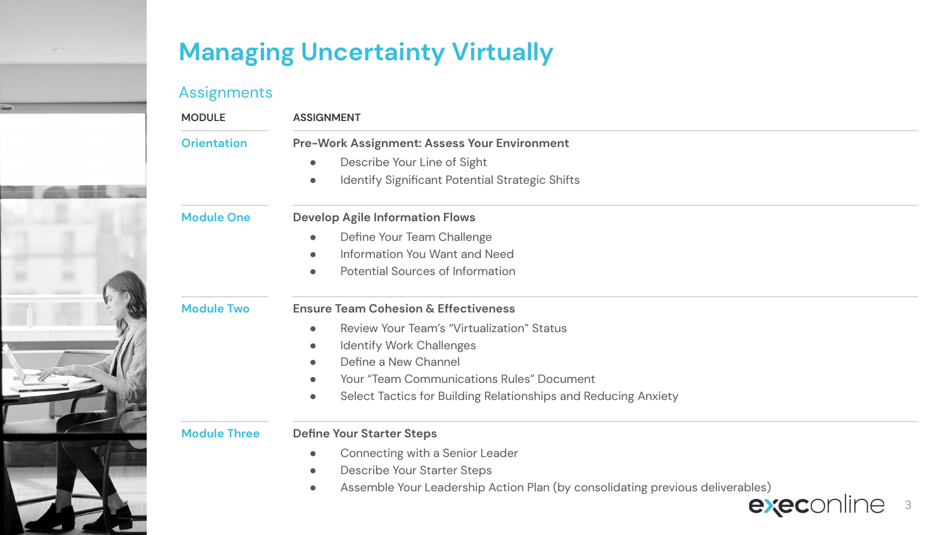### Assignments

| <b>MODULE</b>       | <b>ASSIGNMENT</b>                                                           |  |
|---------------------|-----------------------------------------------------------------------------|--|
| <b>Orientation</b>  | Pre-Work Assignment: Assess Your Environment                                |  |
|                     | Describe Your Line of Sight<br>$\bullet$                                    |  |
|                     | Identify Significant Potential Strategic Shifts<br>$\bullet$                |  |
| <b>Module One</b>   | <b>Develop Agile Information Flows</b>                                      |  |
|                     | Define Your Team Challenge<br>$\bullet$                                     |  |
|                     | Information You Want and Need<br>$\bullet$                                  |  |
|                     | Potential Sources of Information<br>$\bullet$                               |  |
| <b>Module Two</b>   | <b>Ensure Team Cohesion &amp; Effectiveness</b>                             |  |
|                     | Review Your Team's "Virtualization" Status<br>$\bullet$                     |  |
|                     | <b>Identify Work Challenges</b><br>$\bullet$                                |  |
|                     | Define a New Channel<br>$\bullet$                                           |  |
|                     | <b>Your "Team Communications Rules" Document</b>                            |  |
|                     | Select Tactics for Building Relationships and Reducing Anxiety<br>$\bullet$ |  |
| <b>Module Three</b> | <b>Define Your Starter Steps</b>                                            |  |
|                     | Connecting with a Senior Leader<br>$\bullet$                                |  |

- Describe Your Starter Steps
- Assemble Your Leadership Action Plan (by consolidating previous deliverables)<br>- **exec**online